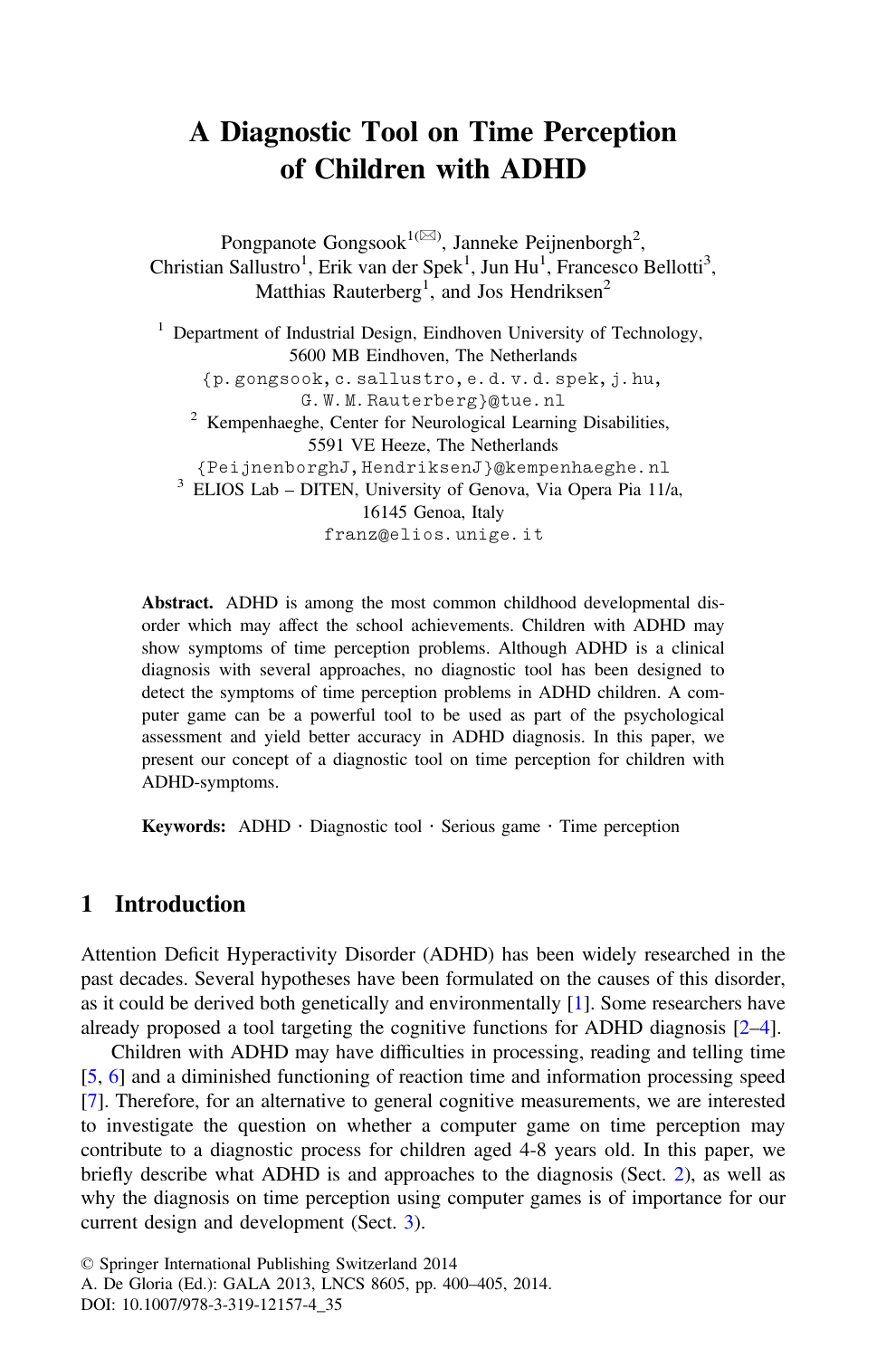# A Diagnostic Tool on Time Perception of Children with ADHD

Pongpanote Gongsook<sup>1( $\boxtimes$ )</sup>, Janneke Peijnenborgh<sup>2</sup>, Christian Sallustro<sup>1</sup>, Erik van der Spek<sup>1</sup>, Jun Hu<sup>1</sup>, Francesco Bellotti<sup>3</sup>, Matthias Rauterberg<sup>1</sup>, and Jos Hendriksen<sup>2</sup>

<sup>1</sup> Department of Industrial Design, Eindhoven University of Technology, 5600 MB Eindhoven, The Netherlands {p.gongsook,c.sallustro,e.d.v.d.spek,j.hu, G.W.M.Rauterberg}@tue.nl <sup>2</sup> Kempenhaeghe, Center for Neurological Learning Disabilities, 5591 VE Heeze, The Netherlands<br>{PeijnenborghJ, HendriksenJ}@kempenhaeghe.nl  $3$  ELIOS Lab – DITEN, University of Genova, Via Opera Pia 11/a, 16145 Genoa, Italy franz@elios.unige.it

Abstract. ADHD is among the most common childhood developmental disorder which may affect the school achievements. Children with ADHD may show symptoms of time perception problems. Although ADHD is a clinical diagnosis with several approaches, no diagnostic tool has been designed to detect the symptoms of time perception problems in ADHD children. A computer game can be a powerful tool to be used as part of the psychological assessment and yield better accuracy in ADHD diagnosis. In this paper, we present our concept of a diagnostic tool on time perception for children with ADHD-symptoms.

**Keywords:** ADHD  $\cdot$  Diagnostic tool  $\cdot$  Serious game  $\cdot$  Time perception

## 1 Introduction

Attention Deficit Hyperactivity Disorder (ADHD) has been widely researched in the past decades. Several hypotheses have been formulated on the causes of this disorder, as it could be derived both genetically and environmentally [\[1](#page-4-0)]. Some researchers have already proposed a tool targeting the cognitive functions for ADHD diagnosis [[2](#page-4-0)–[4\]](#page-4-0).

Children with ADHD may have difficulties in processing, reading and telling time [[5,](#page-4-0) [6](#page-4-0)] and a diminished functioning of reaction time and information processing speed [[7\]](#page-4-0). Therefore, for an alternative to general cognitive measurements, we are interested to investigate the question on whether a computer game on time perception may contribute to a diagnostic process for children aged 4-8 years old. In this paper, we briefly describe what ADHD is and approaches to the diagnosis (Sect. [2\)](#page-1-0), as well as why the diagnosis on time perception using computer games is of importance for our current design and development (Sect. [3](#page-1-0)).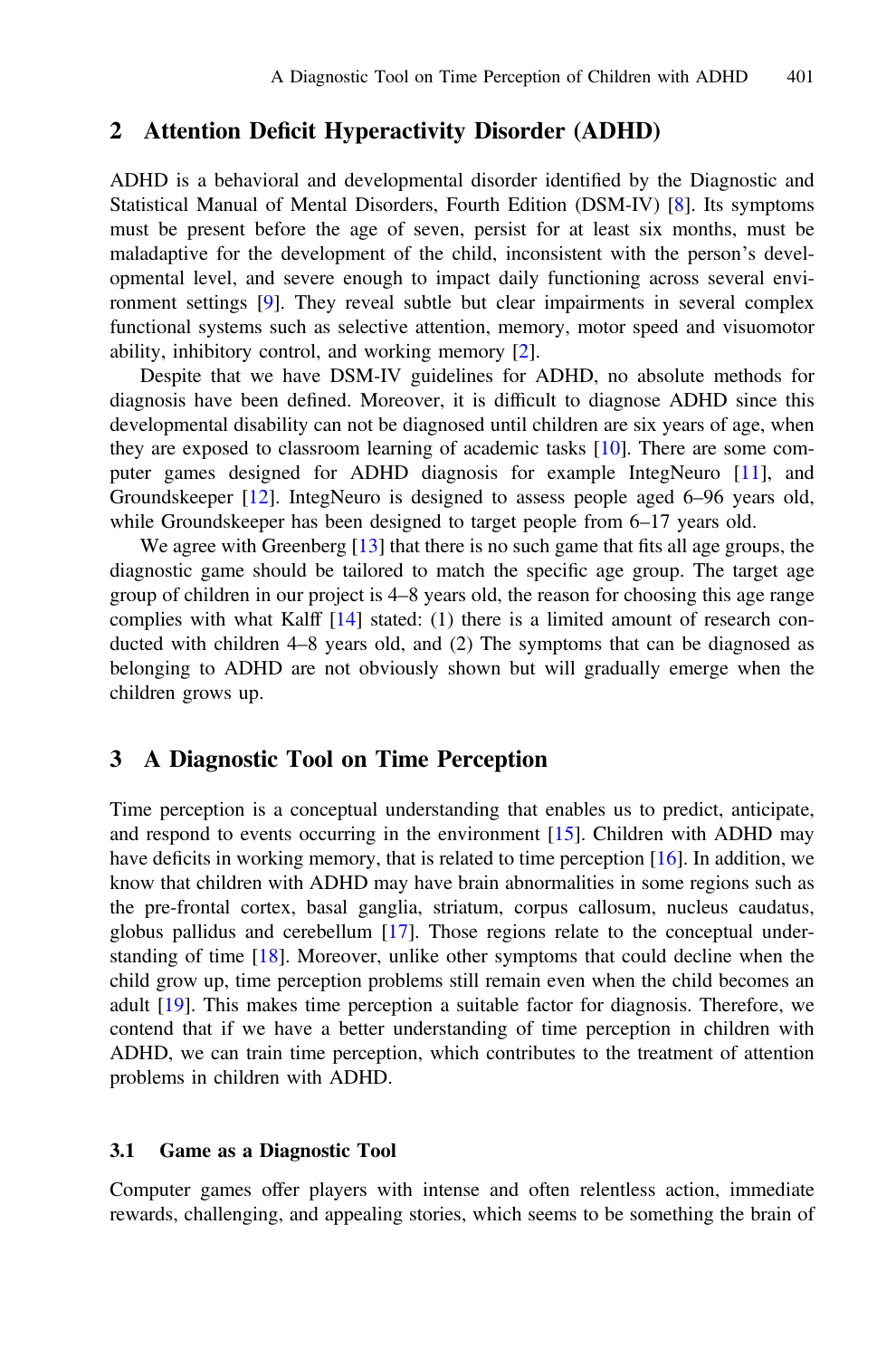#### <span id="page-1-0"></span>2 Attention Deficit Hyperactivity Disorder (ADHD)

ADHD is a behavioral and developmental disorder identified by the Diagnostic and Statistical Manual of Mental Disorders, Fourth Edition (DSM-IV) [[8\]](#page-4-0). Its symptoms must be present before the age of seven, persist for at least six months, must be maladaptive for the development of the child, inconsistent with the person's developmental level, and severe enough to impact daily functioning across several environment settings [\[9](#page-4-0)]. They reveal subtle but clear impairments in several complex functional systems such as selective attention, memory, motor speed and visuomotor ability, inhibitory control, and working memory [\[2](#page-4-0)].

Despite that we have DSM-IV guidelines for ADHD, no absolute methods for diagnosis have been defined. Moreover, it is difficult to diagnose ADHD since this developmental disability can not be diagnosed until children are six years of age, when they are exposed to classroom learning of academic tasks [\[10](#page-4-0)]. There are some computer games designed for ADHD diagnosis for example IntegNeuro [\[11](#page-4-0)], and Groundskeeper [[12\]](#page-4-0). IntegNeuro is designed to assess people aged 6–96 years old, while Groundskeeper has been designed to target people from 6–17 years old.

We agree with Greenberg [[13\]](#page-4-0) that there is no such game that fits all age groups, the diagnostic game should be tailored to match the specific age group. The target age group of children in our project is 4–8 years old, the reason for choosing this age range complies with what Kalff [[14\]](#page-5-0) stated: (1) there is a limited amount of research conducted with children 4–8 years old, and (2) The symptoms that can be diagnosed as belonging to ADHD are not obviously shown but will gradually emerge when the children grows up.

#### 3 A Diagnostic Tool on Time Perception

Time perception is a conceptual understanding that enables us to predict, anticipate, and respond to events occurring in the environment  $[15]$  $[15]$ . Children with ADHD may have deficits in working memory, that is related to time perception [[16\]](#page-5-0). In addition, we know that children with ADHD may have brain abnormalities in some regions such as the pre-frontal cortex, basal ganglia, striatum, corpus callosum, nucleus caudatus, globus pallidus and cerebellum [\[17](#page-5-0)]. Those regions relate to the conceptual understanding of time [[18\]](#page-5-0). Moreover, unlike other symptoms that could decline when the child grow up, time perception problems still remain even when the child becomes an adult [\[19](#page-5-0)]. This makes time perception a suitable factor for diagnosis. Therefore, we contend that if we have a better understanding of time perception in children with ADHD, we can train time perception, which contributes to the treatment of attention problems in children with ADHD.

#### 3.1 Game as a Diagnostic Tool

Computer games offer players with intense and often relentless action, immediate rewards, challenging, and appealing stories, which seems to be something the brain of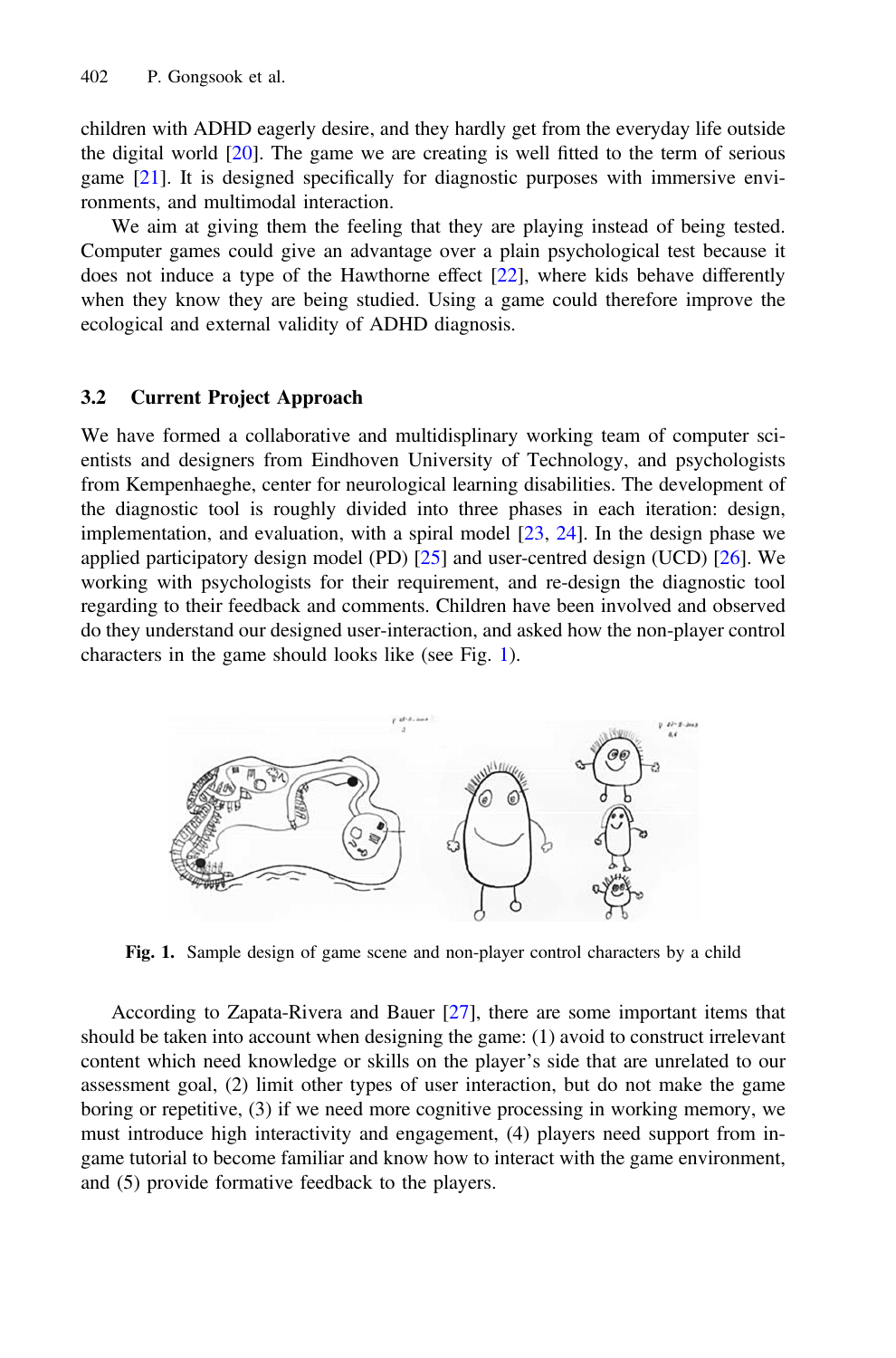children with ADHD eagerly desire, and they hardly get from the everyday life outside the digital world  $[20]$  $[20]$ . The game we are creating is well fitted to the term of serious game [[21\]](#page-5-0). It is designed specifically for diagnostic purposes with immersive environments, and multimodal interaction.

We aim at giving them the feeling that they are playing instead of being tested. Computer games could give an advantage over a plain psychological test because it does not induce a type of the Hawthorne effect [[22\]](#page-5-0), where kids behave differently when they know they are being studied. Using a game could therefore improve the ecological and external validity of ADHD diagnosis.

#### 3.2 Current Project Approach

We have formed a collaborative and multidisplinary working team of computer scientists and designers from Eindhoven University of Technology, and psychologists from Kempenhaeghe, center for neurological learning disabilities. The development of the diagnostic tool is roughly divided into three phases in each iteration: design, implementation, and evaluation, with a spiral model  $[23, 24]$  $[23, 24]$  $[23, 24]$ . In the design phase we applied participatory design model (PD) [\[25](#page-5-0)] and user-centred design (UCD) [\[26](#page-5-0)]. We working with psychologists for their requirement, and re-design the diagnostic tool regarding to their feedback and comments. Children have been involved and observed do they understand our designed user-interaction, and asked how the non-player control characters in the game should looks like (see Fig. 1).



Fig. 1. Sample design of game scene and non-player control characters by a child

According to Zapata-Rivera and Bauer [\[27](#page-5-0)], there are some important items that should be taken into account when designing the game: (1) avoid to construct irrelevant content which need knowledge or skills on the player's side that are unrelated to our assessment goal, (2) limit other types of user interaction, but do not make the game boring or repetitive, (3) if we need more cognitive processing in working memory, we must introduce high interactivity and engagement, (4) players need support from ingame tutorial to become familiar and know how to interact with the game environment, and (5) provide formative feedback to the players.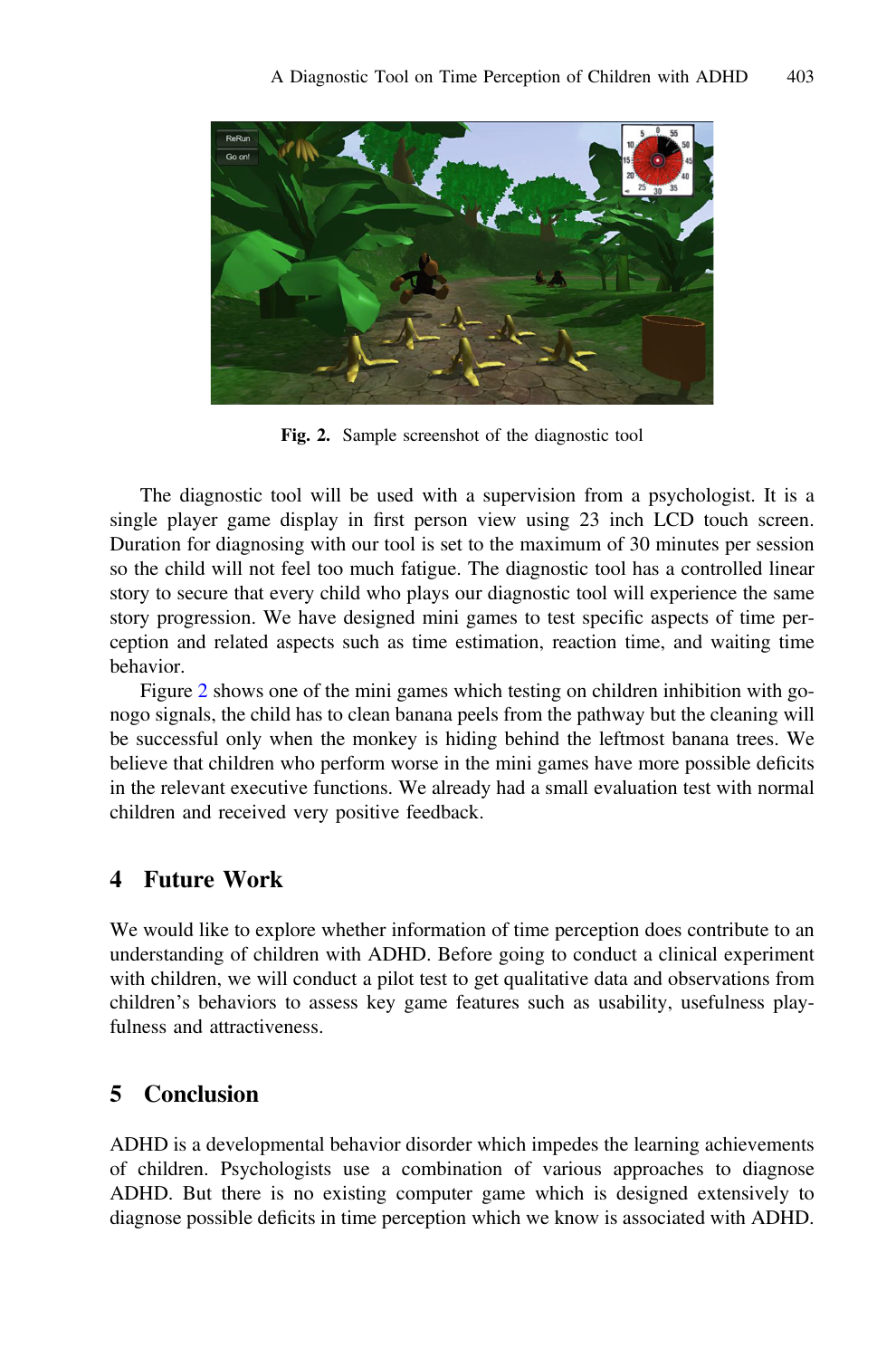

Fig. 2. Sample screenshot of the diagnostic tool

The diagnostic tool will be used with a supervision from a psychologist. It is a single player game display in first person view using 23 inch LCD touch screen. Duration for diagnosing with our tool is set to the maximum of 30 minutes per session so the child will not feel too much fatigue. The diagnostic tool has a controlled linear story to secure that every child who plays our diagnostic tool will experience the same story progression. We have designed mini games to test specific aspects of time perception and related aspects such as time estimation, reaction time, and waiting time behavior.

Figure 2 shows one of the mini games which testing on children inhibition with gonogo signals, the child has to clean banana peels from the pathway but the cleaning will be successful only when the monkey is hiding behind the leftmost banana trees. We believe that children who perform worse in the mini games have more possible deficits in the relevant executive functions. We already had a small evaluation test with normal children and received very positive feedback.

### 4 Future Work

We would like to explore whether information of time perception does contribute to an understanding of children with ADHD. Before going to conduct a clinical experiment with children, we will conduct a pilot test to get qualitative data and observations from children's behaviors to assess key game features such as usability, usefulness playfulness and attractiveness.

## 5 Conclusion

ADHD is a developmental behavior disorder which impedes the learning achievements of children. Psychologists use a combination of various approaches to diagnose ADHD. But there is no existing computer game which is designed extensively to diagnose possible deficits in time perception which we know is associated with ADHD.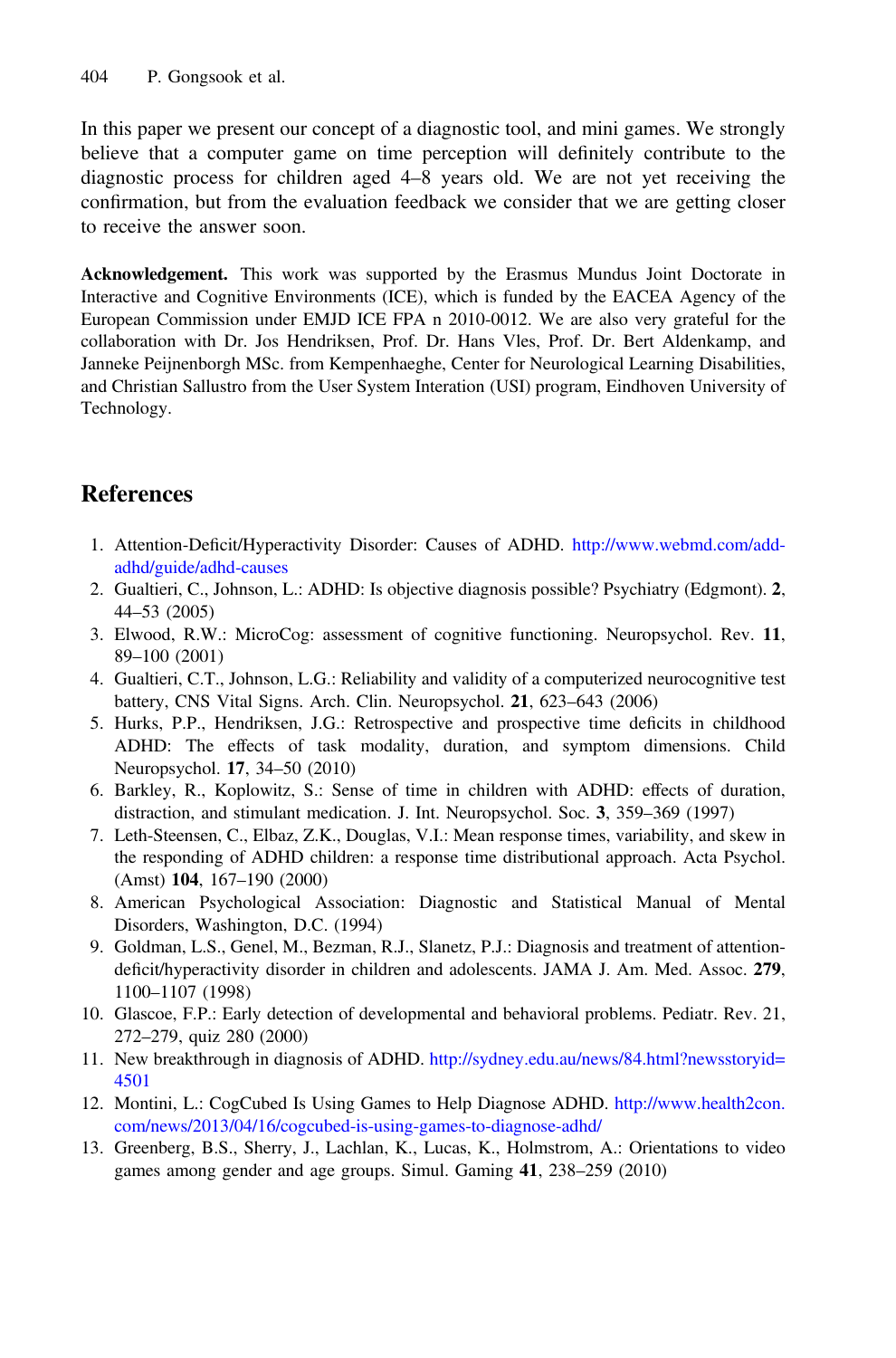<span id="page-4-0"></span>In this paper we present our concept of a diagnostic tool, and mini games. We strongly believe that a computer game on time perception will definitely contribute to the diagnostic process for children aged 4–8 years old. We are not yet receiving the confirmation, but from the evaluation feedback we consider that we are getting closer to receive the answer soon.

Acknowledgement. This work was supported by the Erasmus Mundus Joint Doctorate in Interactive and Cognitive Environments (ICE), which is funded by the EACEA Agency of the European Commission under EMJD ICE FPA n 2010-0012. We are also very grateful for the collaboration with Dr. Jos Hendriksen, Prof. Dr. Hans Vles, Prof. Dr. Bert Aldenkamp, and Janneke Peijnenborgh MSc. from Kempenhaeghe, Center for Neurological Learning Disabilities, and Christian Sallustro from the User System Interation (USI) program, Eindhoven University of Technology.

## References

- 1. Attention-Deficit/Hyperactivity Disorder: Causes of ADHD. [http://www.webmd.com/add](http://www.webmd.com/add-adhd/guide/adhd-causes)[adhd/guide/adhd-causes](http://www.webmd.com/add-adhd/guide/adhd-causes)
- 2. Gualtieri, C., Johnson, L.: ADHD: Is objective diagnosis possible? Psychiatry (Edgmont). 2, 44–53 (2005)
- 3. Elwood, R.W.: MicroCog: assessment of cognitive functioning. Neuropsychol. Rev. 11, 89–100 (2001)
- 4. Gualtieri, C.T., Johnson, L.G.: Reliability and validity of a computerized neurocognitive test battery, CNS Vital Signs. Arch. Clin. Neuropsychol. 21, 623–643 (2006)
- 5. Hurks, P.P., Hendriksen, J.G.: Retrospective and prospective time deficits in childhood ADHD: The effects of task modality, duration, and symptom dimensions. Child Neuropsychol. 17, 34–50 (2010)
- 6. Barkley, R., Koplowitz, S.: Sense of time in children with ADHD: effects of duration, distraction, and stimulant medication. J. Int. Neuropsychol. Soc. 3, 359–369 (1997)
- 7. Leth-Steensen, C., Elbaz, Z.K., Douglas, V.I.: Mean response times, variability, and skew in the responding of ADHD children: a response time distributional approach. Acta Psychol. (Amst) 104, 167–190 (2000)
- 8. American Psychological Association: Diagnostic and Statistical Manual of Mental Disorders, Washington, D.C. (1994)
- 9. Goldman, L.S., Genel, M., Bezman, R.J., Slanetz, P.J.: Diagnosis and treatment of attentiondeficit/hyperactivity disorder in children and adolescents. JAMA J. Am. Med. Assoc. 279, 1100–1107 (1998)
- 10. Glascoe, F.P.: Early detection of developmental and behavioral problems. Pediatr. Rev. 21, 272–279, quiz 280 (2000)
- 11. New breakthrough in diagnosis of ADHD. [http://sydney.edu.au/news/84.html?newsstoryid=](http://sydney.edu.au/news/84.html?newsstoryid=4501) [4501](http://sydney.edu.au/news/84.html?newsstoryid=4501)
- 12. Montini, L.: CogCubed Is Using Games to Help Diagnose ADHD. [http://www.health2con.](http://www.health2con.com/news/2013/04/16/cogcubed-is-using-games-to-diagnose-adhd/) [com/news/2013/04/16/cogcubed-is-using-games-to-diagnose-adhd/](http://www.health2con.com/news/2013/04/16/cogcubed-is-using-games-to-diagnose-adhd/)
- 13. Greenberg, B.S., Sherry, J., Lachlan, K., Lucas, K., Holmstrom, A.: Orientations to video games among gender and age groups. Simul. Gaming 41, 238–259 (2010)